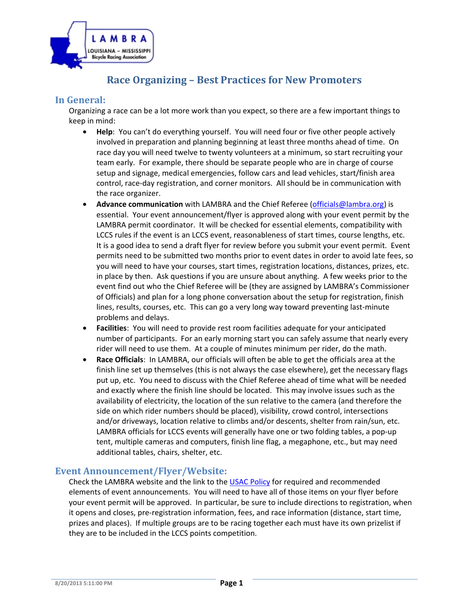

# **Race Organizing – Best Practices for New Promoters**

# **In General:**

Organizing a race can be a lot more work than you expect, so there are a few important things to keep in mind:

- **Help**: You can't do everything yourself. You will need four or five other people actively involved in preparation and planning beginning at least three months ahead of time. On race day you will need twelve to twenty volunteers at a minimum, so start recruiting your team early. For example, there should be separate people who are in charge of course setup and signage, medical emergencies, follow cars and lead vehicles, start/finish area control, race-day registration, and corner monitors. All should be in communication with the race organizer.
- **Advance communication** with LAMBRA and the Chief Referee (officials@lambra.org) is essential. Your event announcement/flyer is approved along with your event permit by the LAMBRA permit coordinator. It will be checked for essential elements, compatibility with LCCS rules if the event is an LCCS event, reasonableness of start times, course lengths, etc. It is a good idea to send a draft flyer for review before you submit your event permit. Event permits need to be submitted two months prior to event dates in order to avoid late fees, so you will need to have your courses, start times, registration locations, distances, prizes, etc. in place by then. Ask questions if you are unsure about anything. A few weeks prior to the event find out who the Chief Referee will be (they are assigned by LAMBRA's Commissioner of Officials) and plan for a long phone conversation about the setup for registration, finish lines, results, courses, etc. This can go a very long way toward preventing last-minute problems and delays.
- **Facilities**: You will need to provide rest room facilities adequate for your anticipated number of participants. For an early morning start you can safely assume that nearly every rider will need to use them. At a couple of minutes minimum per rider, do the math.
- **Race Officials**: In LAMBRA, our officials will often be able to get the officials area at the finish line set up themselves (this is not always the case elsewhere), get the necessary flags put up, etc. You need to discuss with the Chief Referee ahead of time what will be needed and exactly where the finish line should be located. This may involve issues such as the availability of electricity, the location of the sun relative to the camera (and therefore the side on which rider numbers should be placed), visibility, crowd control, intersections and/or driveways, location relative to climbs and/or descents, shelter from rain/sun, etc. LAMBRA officials for LCCS events will generally have one or two folding tables, a pop-up tent, multiple cameras and computers, finish line flag, a megaphone, etc., but may need additional tables, chairs, shelter, etc.

### **Event Announcement/Flyer/Website:**

Check the LAMBRA website and the link to the USAC Policy for required and recommended elements of event announcements. You will need to have all of those items on your flyer before your event permit will be approved. In particular, be sure to include directions to registration, when it opens and closes, pre-registration information, fees, and race information (distance, start time, prizes and places). If multiple groups are to be racing together each must have its own prizelist if they are to be included in the LCCS points competition.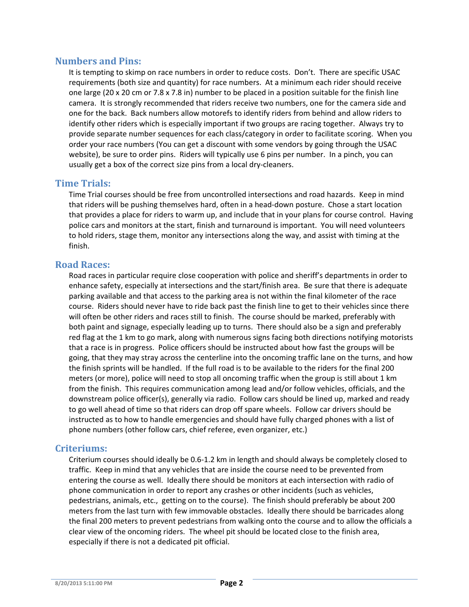# **Numbers and Pins:**

It is tempting to skimp on race numbers in order to reduce costs. Don't. There are specific USAC requirements (both size and quantity) for race numbers. At a minimum each rider should receive one large (20 x 20 cm or 7.8 x 7.8 in) number to be placed in a position suitable for the finish line camera. It is strongly recommended that riders receive two numbers, one for the camera side and one for the back. Back numbers allow motorefs to identify riders from behind and allow riders to identify other riders which is especially important if two groups are racing together. Always try to provide separate number sequences for each class/category in order to facilitate scoring. When you order your race numbers (You can get a discount with some vendors by going through the USAC website), be sure to order pins. Riders will typically use 6 pins per number. In a pinch, you can usually get a box of the correct size pins from a local dry-cleaners.

# **Time Trials:**

Time Trial courses should be free from uncontrolled intersections and road hazards. Keep in mind that riders will be pushing themselves hard, often in a head-down posture. Chose a start location that provides a place for riders to warm up, and include that in your plans for course control. Having police cars and monitors at the start, finish and turnaround is important. You will need volunteers to hold riders, stage them, monitor any intersections along the way, and assist with timing at the finish.

# **Road Races:**

Road races in particular require close cooperation with police and sheriff's departments in order to enhance safety, especially at intersections and the start/finish area. Be sure that there is adequate parking available and that access to the parking area is not within the final kilometer of the race course. Riders should never have to ride back past the finish line to get to their vehicles since there will often be other riders and races still to finish. The course should be marked, preferably with both paint and signage, especially leading up to turns. There should also be a sign and preferably red flag at the 1 km to go mark, along with numerous signs facing both directions notifying motorists that a race is in progress. Police officers should be instructed about how fast the groups will be going, that they may stray across the centerline into the oncoming traffic lane on the turns, and how the finish sprints will be handled. If the full road is to be available to the riders for the final 200 meters (or more), police will need to stop all oncoming traffic when the group is still about 1 km from the finish. This requires communication among lead and/or follow vehicles, officials, and the downstream police officer(s), generally via radio. Follow cars should be lined up, marked and ready to go well ahead of time so that riders can drop off spare wheels. Follow car drivers should be instructed as to how to handle emergencies and should have fully charged phones with a list of phone numbers (other follow cars, chief referee, even organizer, etc.)

# **Criteriums:**

Criterium courses should ideally be 0.6-1.2 km in length and should always be completely closed to traffic. Keep in mind that any vehicles that are inside the course need to be prevented from entering the course as well. Ideally there should be monitors at each intersection with radio of phone communication in order to report any crashes or other incidents (such as vehicles, pedestrians, animals, etc., getting on to the course). The finish should preferably be about 200 meters from the last turn with few immovable obstacles. Ideally there should be barricades along the final 200 meters to prevent pedestrians from walking onto the course and to allow the officials a clear view of the oncoming riders. The wheel pit should be located close to the finish area, especially if there is not a dedicated pit official.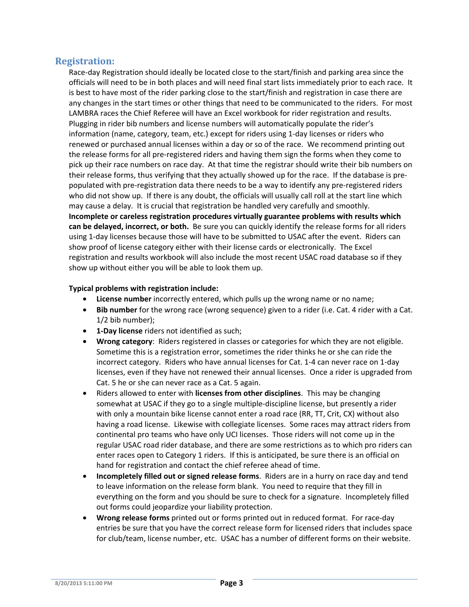# **Registration:**

Race-day Registration should ideally be located close to the start/finish and parking area since the officials will need to be in both places and will need final start lists immediately prior to each race. It is best to have most of the rider parking close to the start/finish and registration in case there are any changes in the start times or other things that need to be communicated to the riders. For most LAMBRA races the Chief Referee will have an Excel workbook for rider registration and results. Plugging in rider bib numbers and license numbers will automatically populate the rider's information (name, category, team, etc.) except for riders using 1-day licenses or riders who renewed or purchased annual licenses within a day or so of the race. We recommend printing out the release forms for all pre-registered riders and having them sign the forms when they come to pick up their race numbers on race day. At that time the registrar should write their bib numbers on their release forms, thus verifying that they actually showed up for the race. If the database is prepopulated with pre-registration data there needs to be a way to identify any pre-registered riders who did not show up. If there is any doubt, the officials will usually call roll at the start line which may cause a delay. It is crucial that registration be handled very carefully and smoothly. **Incomplete or careless registration procedures virtually guarantee problems with results which can be delayed, incorrect, or both.** Be sure you can quickly identify the release forms for all riders using 1-day licenses because those will have to be submitted to USAC after the event. Riders can show proof of license category either with their license cards or electronically. The Excel registration and results workbook will also include the most recent USAC road database so if they show up without either you will be able to look them up.

#### **Typical problems with registration include:**

- **License number** incorrectly entered, which pulls up the wrong name or no name;
- **Bib number** for the wrong race (wrong sequence) given to a rider (i.e. Cat. 4 rider with a Cat. 1/2 bib number);
- **1-Day license** riders not identified as such;
- **Wrong category**: Riders registered in classes or categories for which they are not eligible. Sometime this is a registration error, sometimes the rider thinks he or she can ride the incorrect category. Riders who have annual licenses for Cat. 1-4 can never race on 1-day licenses, even if they have not renewed their annual licenses. Once a rider is upgraded from Cat. 5 he or she can never race as a Cat. 5 again.
- Riders allowed to enter with **licenses from other disciplines**. This may be changing somewhat at USAC if they go to a single multiple-discipline license, but presently a rider with only a mountain bike license cannot enter a road race (RR, TT, Crit, CX) without also having a road license. Likewise with collegiate licenses. Some races may attract riders from continental pro teams who have only UCI licenses. Those riders will not come up in the regular USAC road rider database, and there are some restrictions as to which pro riders can enter races open to Category 1 riders. If this is anticipated, be sure there is an official on hand for registration and contact the chief referee ahead of time.
- **Incompletely filled out or signed release forms**. Riders are in a hurry on race day and tend to leave information on the release form blank. You need to require that they fill in everything on the form and you should be sure to check for a signature. Incompletely filled out forms could jeopardize your liability protection.
- **Wrong release forms** printed out or forms printed out in reduced format. For race-day entries be sure that you have the correct release form for licensed riders that includes space for club/team, license number, etc. USAC has a number of different forms on their website.